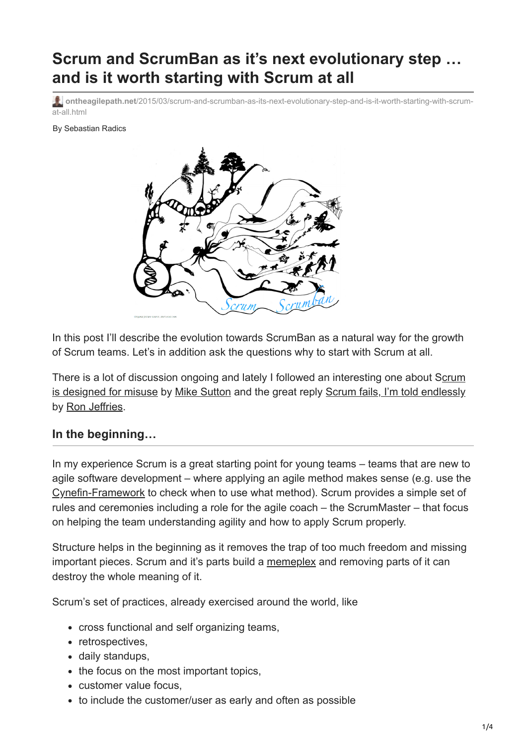# **Scrum and ScrumBan as it's next evolutionary step … and is it worth starting with Scrum at all**

**ontheagilepath.net**[/2015/03/scrum-and-scrumban-as-its-next-evolutionary-step-and-is-it-worth-starting-with-scrum](https://www.ontheagilepath.net/2015/03/scrum-and-scrumban-as-its-next-evolutionary-step-and-is-it-worth-starting-with-scrum-at-all.html)at-all.html

By Sebastian Radics



In this post I'll describe the evolution towards ScrumBan as a natural way for the growth of Scrum teams. Let's in addition ask the questions why to start with Scrum at all.

[There is a lot of discussion ongoing and lately I followed an interesting one about Scrum](http://mhsutton.me/scrum-designed-misuse/) is designed for misuse by [Mike Sutton](http://mhsutton.me/about/) and the great reply [Scrum fails, I'm told endlessly](http://ronjeffries.com/articles/2015-03-02-scrum-fails/?utm_content=bufferb35d4&utm_medium=social&utm_source=twitter.com&utm_campaign=buffer) by [Ron Jeffries.](https://twitter.com/RonJeffries)

#### **In the beginning…**

In my experience Scrum is a great starting point for young teams – teams that are new to agile software development – where applying an agile method makes sense (e.g. use the [Cynefin-Framework](http://en.wikipedia.org/wiki/Cynefin) to check when to use what method). Scrum provides a simple set of rules and ceremonies including a role for the agile coach – the ScrumMaster – that focus on helping the team understanding agility and how to apply Scrum properly.

Structure helps in the beginning as it removes the trap of too much freedom and missing important pieces. Scrum and it's parts build a [memeplex](http://en.wikipedia.org/wiki/Memeplex) and removing parts of it can destroy the whole meaning of it.

Scrum's set of practices, already exercised around the world, like

- cross functional and self organizing teams,
- retrospectives,
- daily standups,
- the focus on the most important topics,
- customer value focus,
- to include the customer/user as early and often as possible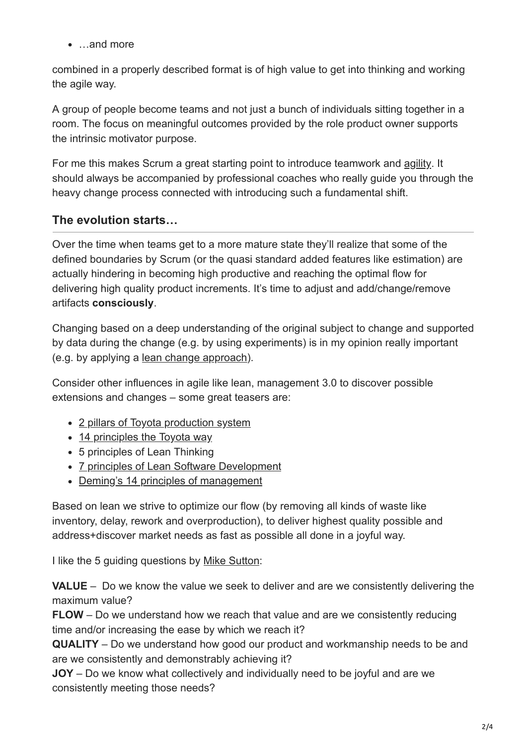• …and more

combined in a properly described format is of high value to get into thinking and working the agile way.

A group of people become teams and not just a bunch of individuals sitting together in a room. The focus on meaningful outcomes provided by the role product owner supports the intrinsic motivator purpose.

For me this makes Scrum a great starting point to introduce teamwork and [agility.](http://www.ontheagilepath.net/2015/03/agility-to-replace-diluted-term-agile.html) It should always be accompanied by professional coaches who really guide you through the heavy change process connected with introducing such a fundamental shift.

### **The evolution starts…**

Over the time when teams get to a more mature state they'll realize that some of the defined boundaries by Scrum (or the quasi standard added features like estimation) are actually hindering in becoming high productive and reaching the optimal flow for delivering high quality product increments. It's time to adjust and add/change/remove artifacts **consciously**.

Changing based on a deep understanding of the original subject to change and supported by data during the change (e.g. by using experiments) is in my opinion really important (e.g. by applying a [lean change approach](https://leanpub.com/leanchange)).

Consider other influences in agile like lean, management 3.0 to discover possible extensions and changes – some great teasers are:

- [2 pillars of Toyota production system](http://www.lean.uky.edu/reference/terminology/)
- [14 principles the Toyota way](http://de.slideshare.net/ckvkarma/the-toyota-way-14-management-principles)
- 5 principles of Lean Thinking
- [7 principles of Lean Software Development](http://de.slideshare.net/jpvajda/lean-software-development-principles)
- [Deming's 14 principles of management](https://www.deming.org/theman/theories/fourteenpoints)

Based on lean we strive to optimize our flow (by removing all kinds of waste like inventory, delay, rework and overproduction), to deliver highest quality possible and address+discover market needs as fast as possible all done in a joyful way.

I like the 5 guiding questions by [Mike Sutton](http://mhsutton.me/about/):

**VALUE** – Do we know the value we seek to deliver and are we consistently delivering the maximum value?

**FLOW** – Do we understand how we reach that value and are we consistently reducing time and/or increasing the ease by which we reach it?

**QUALITY** – Do we understand how good our product and workmanship needs to be and are we consistently and demonstrably achieving it?

**JOY** – Do we know what collectively and individually need to be joyful and are we consistently meeting those needs?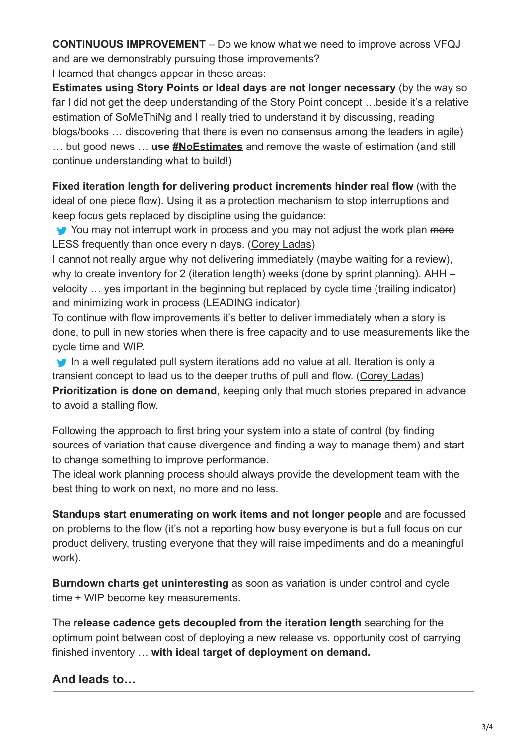**CONTINUOUS IMPROVEMENT** – Do we know what we need to improve across VFQJ and are we demonstrably pursuing those improvements?

I learned that changes appear in these areas:

**Estimates using Story Points or Ideal days are not longer necessary** (by the way so far I did not get the deep understanding of the Story Point concept …beside it's a relative estimation of SoMeThiNg and I really tried to understand it by discussing, reading blogs/books … discovering that there is even no consensus among the leaders in agile) … but good news … **use [#NoEstimates](https://twitter.com/search?q=%23noestimates&src=tyah)** and remove the waste of estimation (and still continue understanding what to build!)

**Fixed iteration length for delivering product increments hinder real flow** (with the ideal of one piece flow). Using it as a protection mechanism to stop interruptions and keep focus gets replaced by discipline using the guidance:

You may not interrupt work in process and you may not adjust the work plan more LESS frequently than once every n days. ([Corey Ladas\)](https://twitter.com/corey_ladas)

I cannot not really argue why not delivering immediately (maybe waiting for a review), why to create inventory for 2 (iteration length) weeks (done by sprint planning). AHH – velocity … yes important in the beginning but replaced by cycle time (trailing indicator) and minimizing work in process (LEADING indicator).

To continue with flow improvements it's better to deliver immediately when a story is done, to pull in new stories when there is free capacity and to use measurements like the cycle time and WIP.

In a well regulated pull system iterations add no value at all. Iteration is only a transient concept to lead us to the deeper truths of pull and flow. ([Corey Ladas\)](https://twitter.com/corey_ladas) **Prioritization is done on demand**, keeping only that much stories prepared in advance to avoid a stalling flow.

Following the approach to first bring your system into a state of control (by finding sources of variation that cause divergence and finding a way to manage them) and start to change something to improve performance.

The ideal work planning process should always provide the development team with the best thing to work on next, no more and no less.

**Standups start enumerating on work items and not longer people** and are focussed on problems to the flow (it's not a reporting how busy everyone is but a full focus on our product delivery, trusting everyone that they will raise impediments and do a meaningful work).

**Burndown charts get uninteresting** as soon as variation is under control and cycle time + WIP become key measurements.

The **release cadence gets decoupled from the iteration length** searching for the optimum point between cost of deploying a new release vs. opportunity cost of carrying finished inventory … **with ideal target of deployment on demand.**

## **And leads to…**